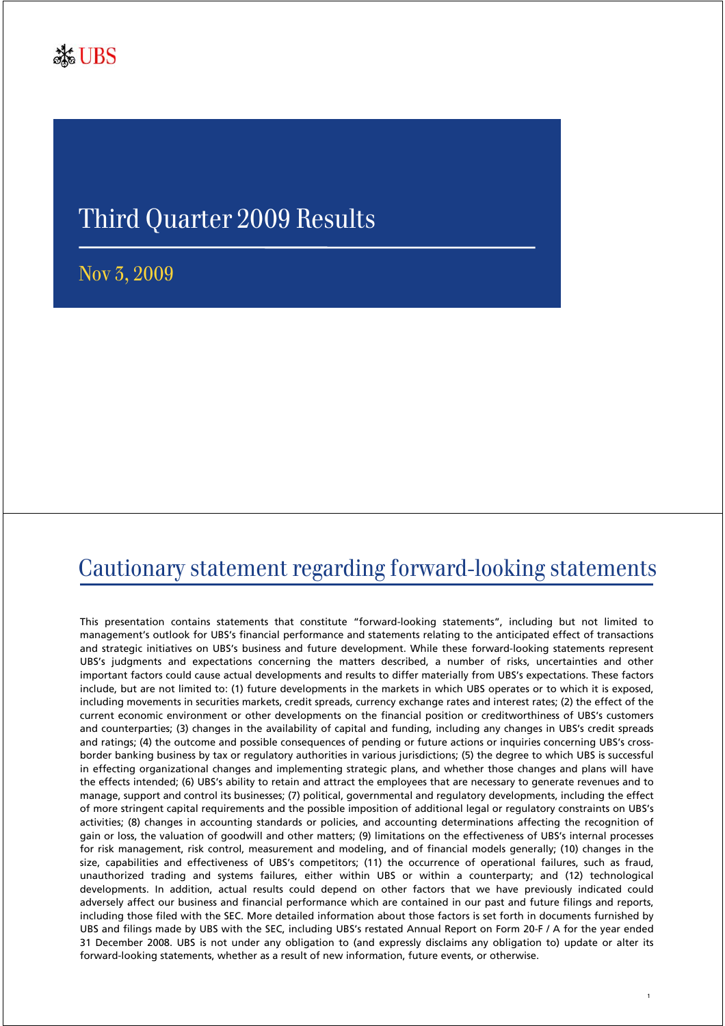# Third Quarter 2009 Results

Nov 3, 2009

#### Cautionary statement regarding forward-looking statements

This presentation contains statements that constitute "forward-looking statements", including but not limited to management's outlook for UBS's financial performance and statements relating to the anticipated effect of transactions and strategic initiatives on UBS's business and future development. While these forward-looking statements represent UBS's judgments and expectations concerning the matters described, a number of risks, uncertainties and other important factors could cause actual developments and results to differ materially from UBS's expectations. These factors include, but are not limited to: (1) future developments in the markets in which UBS operates or to which it is exposed, including movements in securities markets, credit spreads, currency exchange rates and interest rates; (2) the effect of the current economic environment or other developments on the financial position or creditworthiness of UBS's customers and counterparties; (3) changes in the availability of capital and funding, including any changes in UBS's credit spreads and ratings; (4) the outcome and possible consequences of pending or future actions or inquiries concerning UBS's crossborder banking business by tax or regulatory authorities in various jurisdictions; (5) the degree to which UBS is successful in effecting organizational changes and implementing strategic plans, and whether those changes and plans will have the effects intended; (6) UBS's ability to retain and attract the employees that are necessary to generate revenues and to manage, support and control its businesses; (7) political, governmental and regulatory developments, including the effect of more stringent capital requirements and the possible imposition of additional legal or regulatory constraints on UBS's activities; (8) changes in accounting standards or policies, and accounting determinations affecting the recognition of gain or loss, the valuation of goodwill and other matters; (9) limitations on the effectiveness of UBS's internal processes for risk management, risk control, measurement and modeling, and of financial models generally; (10) changes in the size, capabilities and effectiveness of UBS's competitors; (11) the occurrence of operational failures, such as fraud, unauthorized trading and systems failures, either within UBS or within a counterparty; and (12) technological developments. In addition, actual results could depend on other factors that we have previously indicated could adversely affect our business and financial performance which are contained in our past and future filings and reports, including those filed with the SEC. More detailed information about those factors is set forth in documents furnished by UBS and filings made by UBS with the SEC, including UBS's restated Annual Report on Form 20-F / A for the year ended 31 December 2008. UBS is not under any obligation to (and expressly disclaims any obligation to) update or alter its forward-looking statements, whether as a result of new information, future events, or otherwise.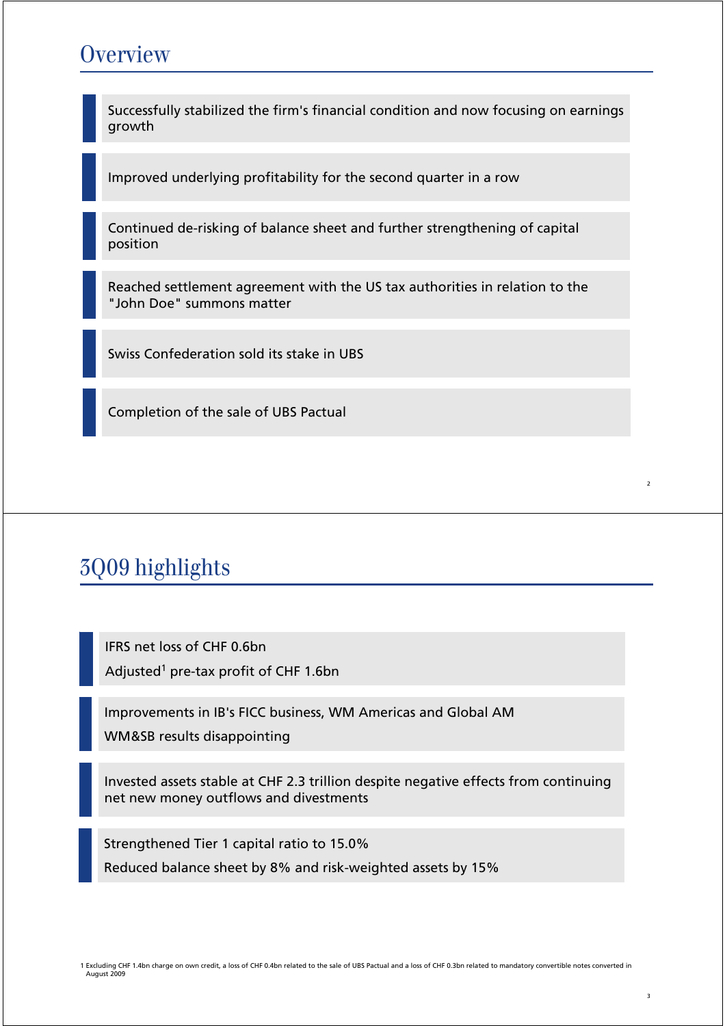#### **Overview**

Successfully stabilized the firm's financial condition and now focusing on earnings growth

Improved underlying profitability for the second quarter in a row

Continued de-risking of balance sheet and further strengthening of capital position

Reached settlement agreement with the US tax authorities in relation to the "John Doe" summons matter

Swiss Confederation sold its stake in UBS

Completion of the sale of UBS Pactual

# 3Q09 highlights

IFRS net loss of CHF 0.6bn Adjusted<sup>1</sup> pre-tax profit of CHF 1.6bn

Improvements in IB's FICC business, WM Americas and Global AM WM&SB results disappointing

Invested assets stable at CHF 2.3 trillion despite negative effects from continuing net new money outflows and divestments

Strengthened Tier 1 capital ratio to 15.0% Reduced balance sheet by 8% and risk-weighted assets by 15%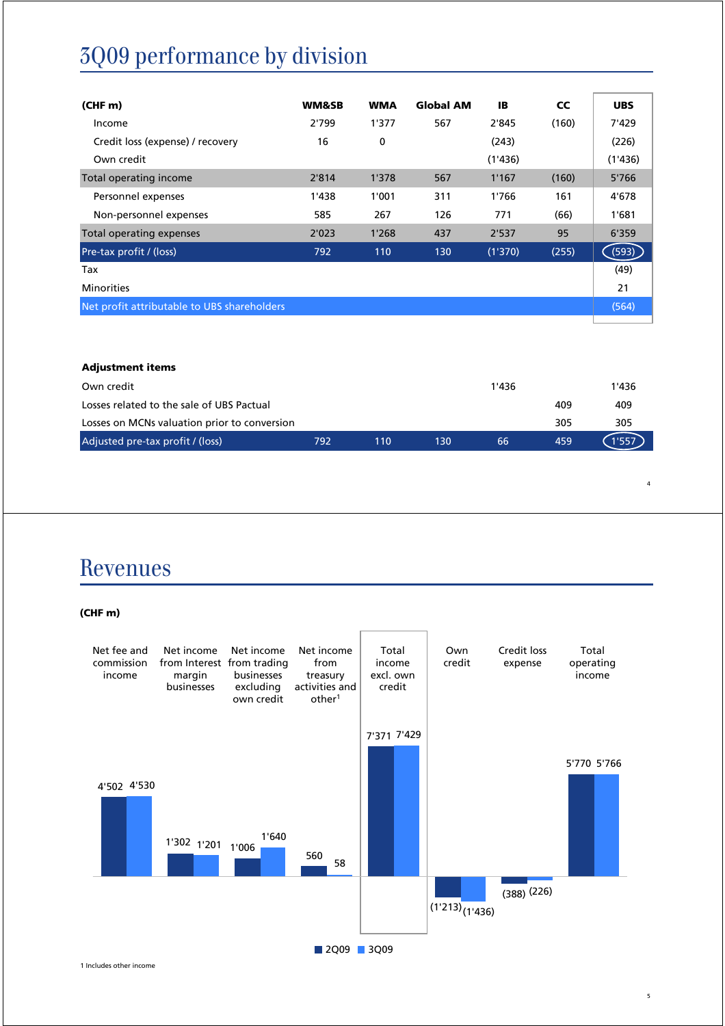# 3Q09 performance by division

| (CHF <sub>m</sub> )                         | <b>WM&amp;SB</b> | <b>WMA</b> | <b>Global AM</b> | <b>IB</b> | <b>CC</b> | <b>UBS</b> |
|---------------------------------------------|------------------|------------|------------------|-----------|-----------|------------|
| Income                                      | 2'799            | 1'377      | 567              | 2'845     | (160)     | 7'429      |
| Credit loss (expense) / recovery            | 16               | 0          |                  | (243)     |           | (226)      |
| Own credit                                  |                  |            |                  | (1'436)   |           | (1'436)    |
| Total operating income                      | 2'814            | 1'378      | 567              | 1'167     | (160)     | 5'766      |
| Personnel expenses                          | 1'438            | 1'001      | 311              | 1'766     | 161       | 4'678      |
| Non-personnel expenses                      | 585              | 267        | 126              | 771       | (66)      | 1'681      |
| Total operating expenses                    | 2'023            | 1'268      | 437              | 2'537     | 95        | 6'359      |
| Pre-tax profit / (loss)                     | 792              | 110        | 130              | (1'370)   | (255)     | (593)      |
| Tax                                         |                  |            |                  |           |           | (49)       |
| <b>Minorities</b>                           |                  |            |                  |           |           | 21         |
| Net profit attributable to UBS shareholders |                  |            |                  |           |           | (564)      |

| <b>Adjustment items</b>                      |     |     |     |       |     |       |
|----------------------------------------------|-----|-----|-----|-------|-----|-------|
| Own credit                                   |     |     |     | 1'436 |     | 1'436 |
| Losses related to the sale of UBS Pactual    |     |     |     |       | 409 | 409   |
| Losses on MCNs valuation prior to conversion |     |     |     |       | 305 | 305   |
| Adjusted pre-tax profit / (loss)             | 792 | 110 | 130 | 66    | 459 | 1'557 |
|                                              |     |     |     |       |     |       |

#### Revenues

**(CHF m)**



1 Includes other income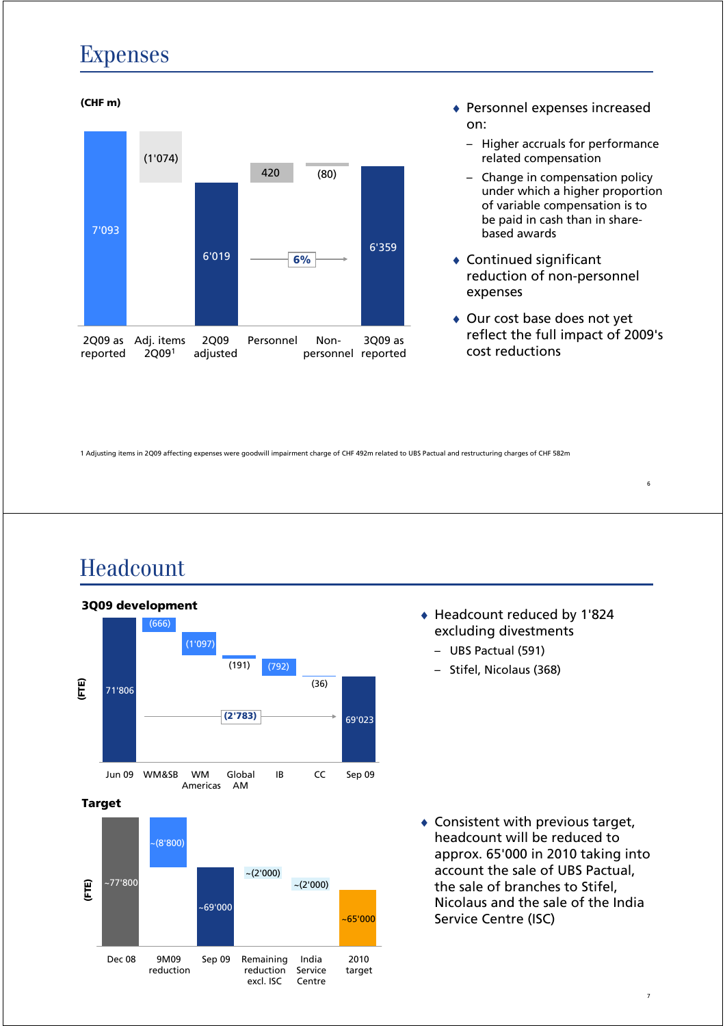#### Expenses



- on:
	- Higher accruals for performance related compensation
	- Change in compensation policy under which a higher proportion of variable compensation is to be paid in cash than in sharebased awards
- $\triangleleft$  Continued significant reduction of non-personnel expenses
- ♦ Our cost base does not yet reflect the full impact of 2009's cost reductions

1 Adjusting items in 2Q09 affecting expenses were goodwill impairment charge of CHF 492m related to UBS Pactual and restructuring charges of CHF 582m

#### Headcount



- ♦ Headcount reduced by 1'824 excluding divestments
	- UBS Pactual (591)
	- Stifel, Nicolaus (368)

 $\triangle$  Consistent with previous target, headcount will be reduced to approx. 65'000 in 2010 taking into account the sale of UBS Pactual, the sale of branches to Stifel, Nicolaus and the sale of the India Service Centre (ISC)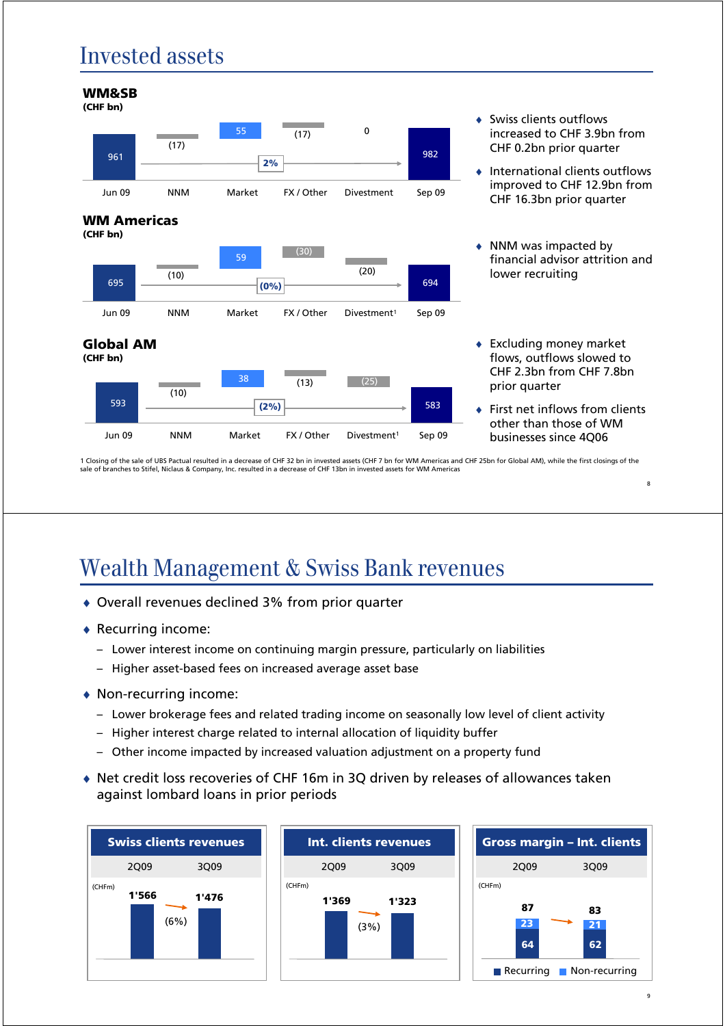## Invested assets



1 Closing of the sale of UBS Pactual resulted in a decrease of CHF 32 bn in invested assets (CHF 7 bn for WM Americas and CHF 25bn for Global AM), while the first closings of the sale of branches to Stifel, Niclaus & Company, Inc. resulted in a decrease of CHF 13bn in invested assets for WM Americas

## Wealth Management & Swiss Bank revenues

- ♦ Overall revenues declined 3% from prior quarter
- ♦ Recurring income:
	- Lower interest income on continuing margin pressure, particularly on liabilities
	- Higher asset-based fees on increased average asset base
- ♦ Non-recurring income:
	- Lower brokerage fees and related trading income on seasonally low level of client activity
	- Higher interest charge related to internal allocation of liquidity buffer
	- Other income impacted by increased valuation adjustment on a property fund
- ♦ Net credit loss recoveries of CHF 16m in 3Q driven by releases of allowances taken against lombard loans in prior periods





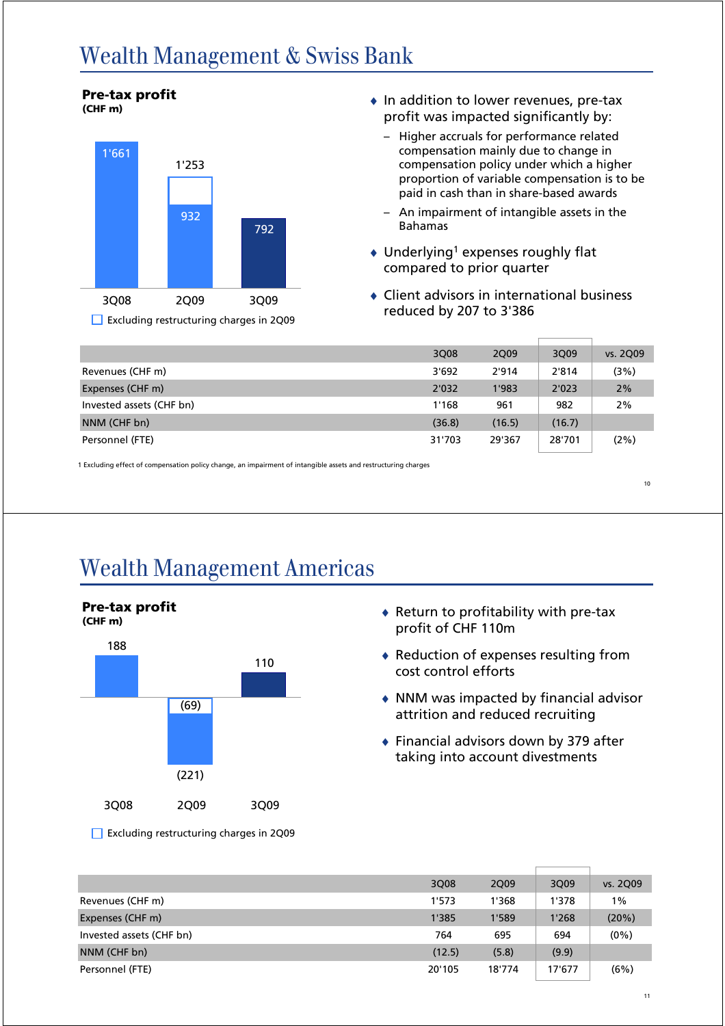#### Wealth Management & Swiss Bank



**Pre-tax profit**

- ♦ In addition to lower revenues, pre-tax profit was impacted significantly by:
	- Higher accruals for performance related compensation mainly due to change in compensation policy under which a higher proportion of variable compensation is to be paid in cash than in share-based awards
	- An impairment of intangible assets in the Bahamas
- $\triangleleft$  Underlying<sup>1</sup> expenses roughly flat compared to prior quarter
- $\triangleleft$  Client advisors in international business reduced by 207 to 3'386

|                          | 3Q08   | 2Q09   | 3Q09   | vs. 2Q09 |
|--------------------------|--------|--------|--------|----------|
| Revenues (CHF m)         | 3'692  | 2'914  | 2'814  | (3%)     |
| Expenses (CHF m)         | 2'032  | 1'983  | 2'023  | 2%       |
| Invested assets (CHF bn) | 1'168  | 961    | 982    | 2%       |
| NNM (CHF bn)             | (36.8) | (16.5) | (16.7) |          |
| Personnel (FTE)          | 31'703 | 29'367 | 28'701 | (2%)     |

1 Excluding effect of compensation policy change, an impairment of intangible assets and restructuring charges

10

# Wealth Management Americas



- $\bullet$  Return to profitability with pre-tax profit of CHF 110m
- $\triangleleft$  Reduction of expenses resulting from cost control efforts
- ♦ NNM was impacted by financial advisor attrition and reduced recruiting
- ♦ Financial advisors down by 379 after taking into account divestments

Excluding restructuring charges in 2Q09

|                          | 3Q08   | 2Q09   | 3Q09   | vs. 2Q09 |
|--------------------------|--------|--------|--------|----------|
| Revenues (CHF m)         | 1'573  | 1'368  | 1'378  | 1%       |
| Expenses (CHF m)         | 1'385  | 1'589  | 1'268  | (20%)    |
| Invested assets (CHF bn) | 764    | 695    | 694    | $(0\%)$  |
| NNM (CHF bn)             | (12.5) | (5.8)  | (9.9)  |          |
| Personnel (FTE)          | 20'105 | 18'774 | 17'677 | (6%)     |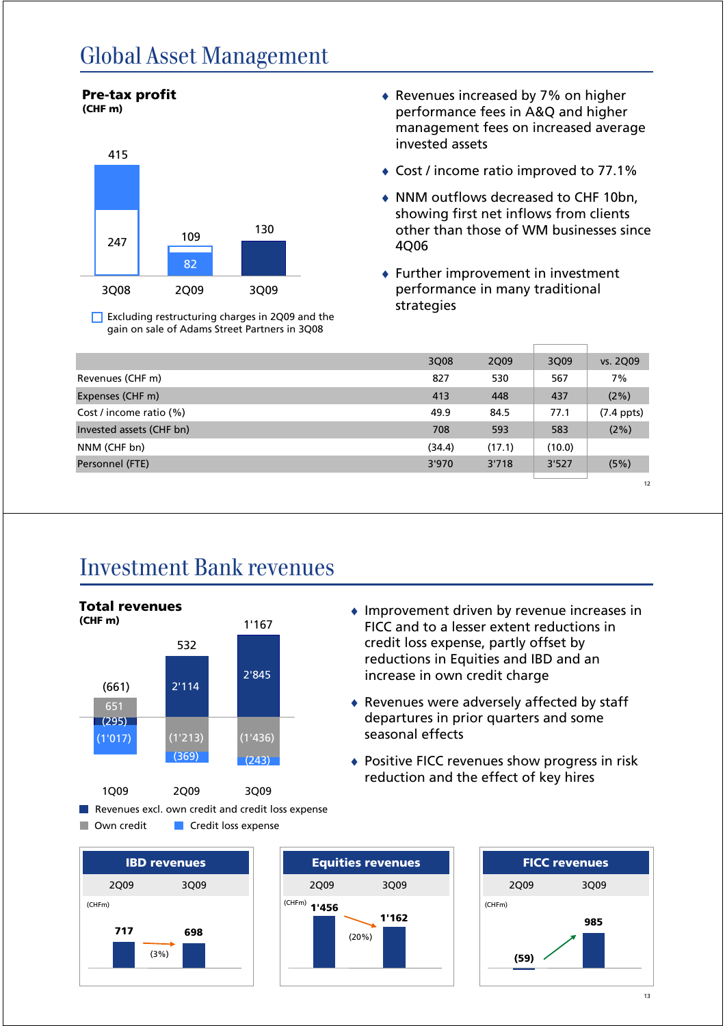# Global Asset Management



 $\Box$  Excluding restructuring charges in 2Q09 and the gain on sale of Adams Street Partners in 3Q08

- ♦ Revenues increased by 7% on higher performance fees in A&Q and higher management fees on increased average invested assets
- ♦ Cost / income ratio improved to 77.1%
- ♦ NNM outflows decreased to CHF 10bn, showing first net inflows from clients other than those of WM businesses since 4Q06
- $\bullet$  Further improvement in investment performance in many traditional strategies

♦ Improvement driven by revenue increases in FICC and to a lesser extent reductions in credit loss expense, partly offset by reductions in Equities and IBD and an

♦ Revenues were adversely affected by staff departures in prior quarters and some

♦ Positive FICC revenues show progress in risk reduction and the effect of key hires

increase in own credit charge

seasonal effects

|                          | 3Q08   | 2Q09   | 3Q09   | vs. 2Q09     |
|--------------------------|--------|--------|--------|--------------|
| Revenues (CHF m)         | 827    | 530    | 567    | 7%           |
| Expenses (CHF m)         | 413    | 448    | 437    | $(2\%)$      |
| Cost / income ratio (%)  | 49.9   | 84.5   | 77.1   | $(7.4$ ppts) |
| Invested assets (CHF bn) | 708    | 593    | 583    | (2%)         |
| NNM (CHF bn)             | (34.4) | (17.1) | (10.0) |              |
| Personnel (FTE)          | 3'970  | 3'718  | 3'527  | (5%)         |
|                          |        |        |        | 12           |

#### Investment Bank revenues



Own credit **Credit Ioss expense** 





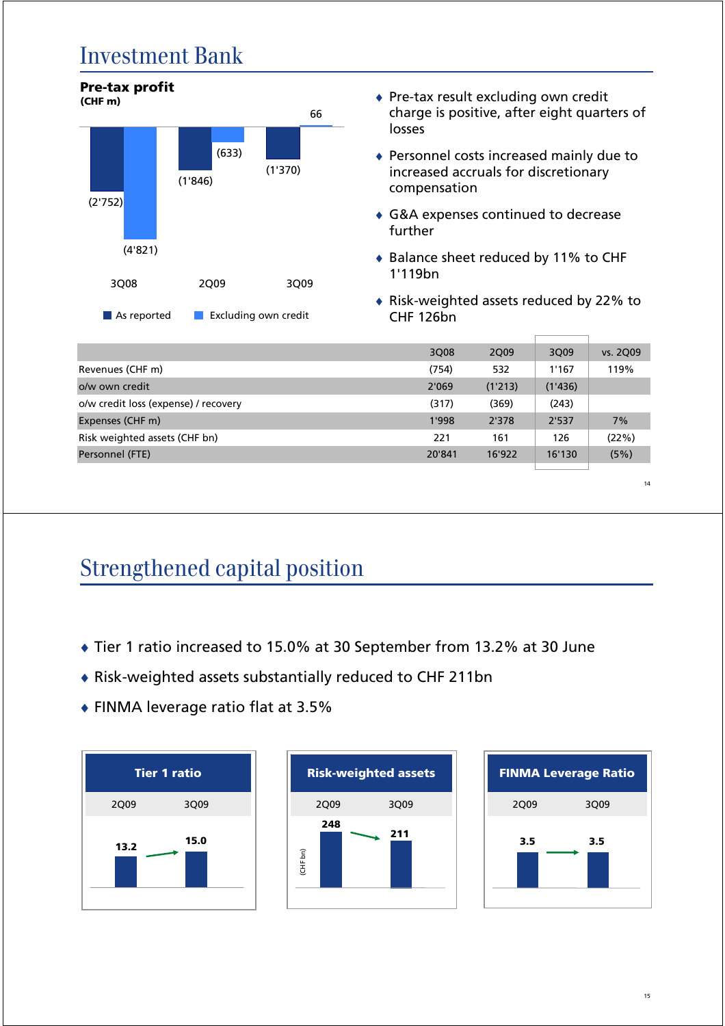#### Investment Bank



|                                      | 3Q08   | 2Q09    | 3Q09    | vs. 2Q09 |
|--------------------------------------|--------|---------|---------|----------|
| Revenues (CHF m)                     | (754)  | 532     | 1'167   | 119%     |
| o/w own credit                       | 2'069  | (1'213) | (1'436) |          |
| o/w credit loss (expense) / recovery | (317)  | (369)   | (243)   |          |
| Expenses (CHF m)                     | 1'998  | 2'378   | 2'537   | 7%       |
| Risk weighted assets (CHF bn)        | 221    | 161     | 126     | (22%)    |
| Personnel (FTE)                      | 20'841 | 16'922  | 16'130  | (5%)     |
|                                      |        |         |         |          |

14

# Strengthened capital position

- ♦ Tier 1 ratio increased to 15.0% at 30 September from 13.2% at 30 June
- ♦ Risk-weighted assets substantially reduced to CHF 211bn
- ♦ FINMA leverage ratio flat at 3.5%





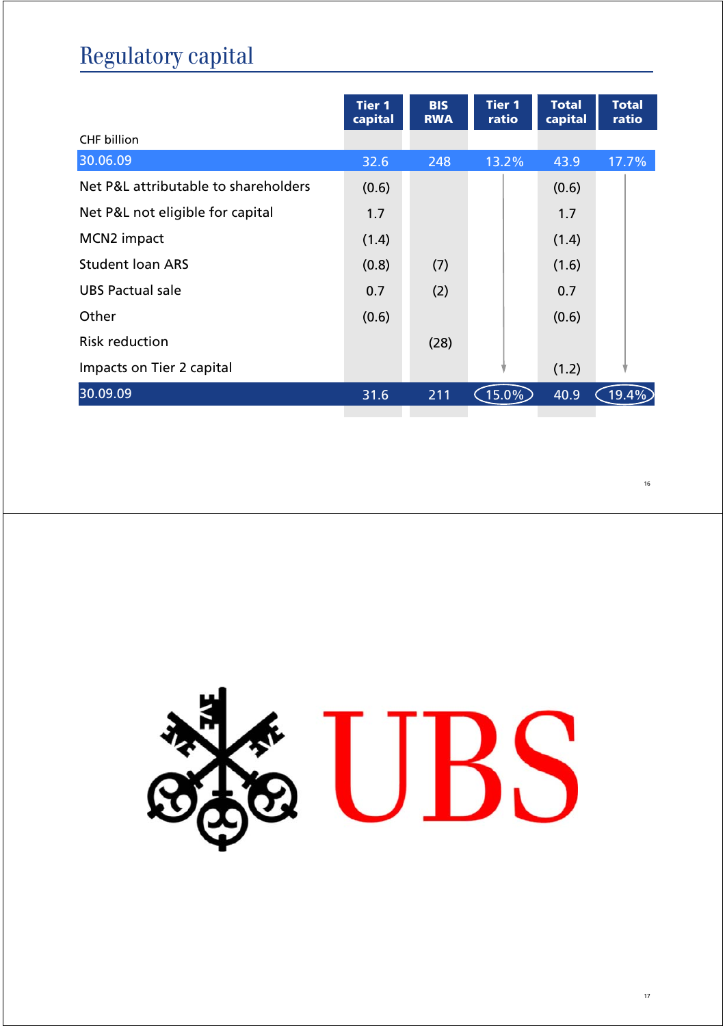# Regulatory capital

|                                      | <b>Tier 1</b><br>capital | <b>BIS</b><br><b>RWA</b> | <b>Tier 1</b><br>ratio | <b>Total</b><br>capital | <b>Total</b><br>ratio |
|--------------------------------------|--------------------------|--------------------------|------------------------|-------------------------|-----------------------|
| <b>CHF</b> billion                   |                          |                          |                        |                         |                       |
| 30.06.09                             | 32.6                     | 248                      | 13.2%                  | 43.9                    | 17.7%                 |
| Net P&L attributable to shareholders | (0.6)                    |                          |                        | (0.6)                   |                       |
| Net P&L not eligible for capital     | 1.7                      |                          |                        | 1.7                     |                       |
| MCN2 impact                          | (1.4)                    |                          |                        | (1.4)                   |                       |
| <b>Student loan ARS</b>              | (0.8)                    | (7)                      |                        | (1.6)                   |                       |
| UBS Pactual sale                     | 0.7                      | (2)                      |                        | 0.7                     |                       |
| Other                                | (0.6)                    |                          |                        | (0.6)                   |                       |
| <b>Risk reduction</b>                |                          | (28)                     |                        |                         |                       |
| Impacts on Tier 2 capital            |                          |                          |                        | (1.2)                   |                       |
| 30.09.09                             | 31.6                     | 211                      | $(15.0\%$              | 40.9                    | 19.4                  |
|                                      |                          |                          |                        |                         |                       |

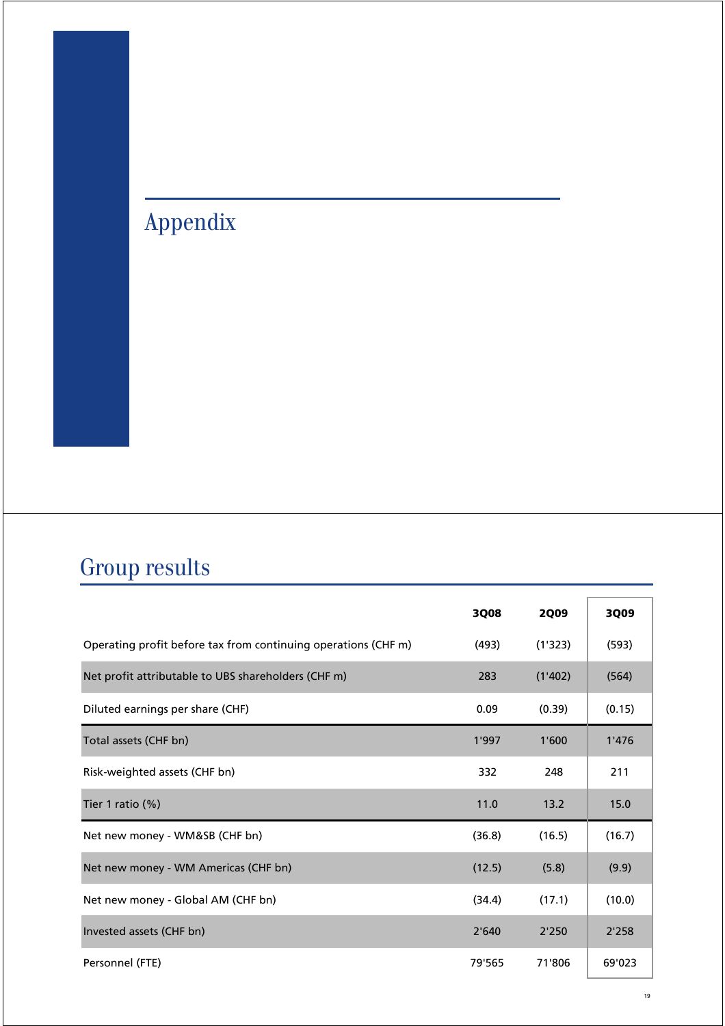# Appendix

# Group results

|                                                                | 3Q08   | <b>2Q09</b> | 3Q09   |
|----------------------------------------------------------------|--------|-------------|--------|
| Operating profit before tax from continuing operations (CHF m) | (493)  | (1'323)     | (593)  |
| Net profit attributable to UBS shareholders (CHF m)            | 283    | (1'402)     | (564)  |
| Diluted earnings per share (CHF)                               | 0.09   | (0.39)      | (0.15) |
| Total assets (CHF bn)                                          | 1'997  | 1'600       | 1'476  |
| Risk-weighted assets (CHF bn)                                  | 332    | 248         | 211    |
| Tier 1 ratio (%)                                               | 11.0   | 13.2        | 15.0   |
| Net new money - WM&SB (CHF bn)                                 | (36.8) | (16.5)      | (16.7) |
| Net new money - WM Americas (CHF bn)                           | (12.5) | (5.8)       | (9.9)  |
| Net new money - Global AM (CHF bn)                             | (34.4) | (17.1)      | (10.0) |
| Invested assets (CHF bn)                                       | 2'640  | 2'250       | 2'258  |
| Personnel (FTE)                                                | 79'565 | 71'806      | 69'023 |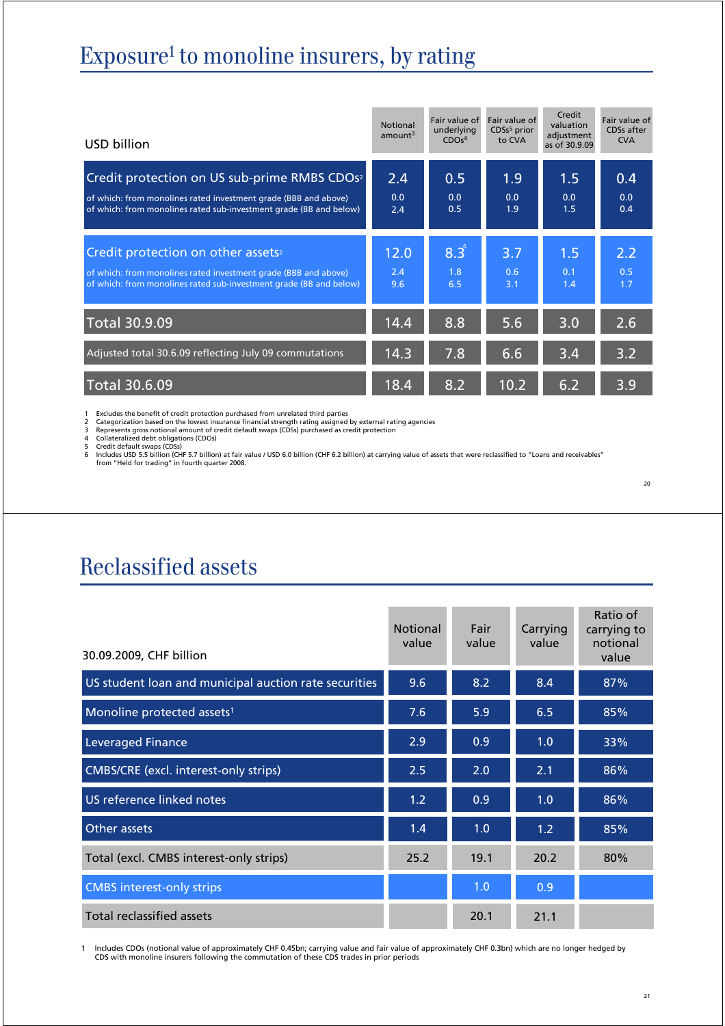# Exposure<sup>1</sup> to monoline insurers, by rating

| USD billion                                                                                                                                                                                       | <b>Notional</b><br>amount <sup>3</sup> | Fair value of<br>underlying<br>CDOs <sup>4</sup> | Fair value of<br>CDSs <sup>5</sup> prior<br>to CVA | Credit<br>valuation<br>adjustment<br>as of 30.9.09 | Fair value of<br>CDSs after<br><b>CVA</b> |
|---------------------------------------------------------------------------------------------------------------------------------------------------------------------------------------------------|----------------------------------------|--------------------------------------------------|----------------------------------------------------|----------------------------------------------------|-------------------------------------------|
| Credit protection on US sub-prime RMBS CDOs <sup>2</sup><br>of which: from monolines rated investment grade (BBB and above)<br>of which: from monolines rated sub-investment grade (BB and below) | 2.4<br>0.0<br>2.4                      | 0.5<br>0.0<br>0.5                                | 1.9<br>0.0<br>1.9                                  | 1.5<br>0.0<br>1.5                                  | 0.4<br>0.0<br>0.4                         |
| Credit protection on other assets <sup>2</sup><br>of which: from monolines rated investment grade (BBB and above)<br>of which: from monolines rated sub-investment grade (BB and below)           | 12.0<br>2.4<br>9.6                     | $8.3^\circ$<br>1.8<br>6.5                        | 3.7<br>0.6<br>3.1                                  | 1.5<br>0.1<br>1.4                                  | 2.2<br>0.5<br>1.7                         |
| <b>Total 30.9.09</b>                                                                                                                                                                              | 14.4                                   | 8.8                                              | 5.6                                                | 3.0                                                | $2.\overline{6}$                          |
| Adjusted total 30.6.09 reflecting July 09 commutations                                                                                                                                            | 14.3                                   | 7.8                                              | 6.6                                                | 3.4                                                | $3.\overline{2}$                          |
| <b>Total 30.6.09</b>                                                                                                                                                                              | 18.4                                   | 8.2                                              | 10.2                                               | 6.2                                                | 3.9                                       |

1 Excludes the benefit of credit protection purchased from unrelated third parties

2 Categorization based on the lowest insurance financial strength rating assigned by external rating agencies<br>3 Represents gross notional amount of credit default swaps (CDSs) purchased as credit protection<br>4 Collateralize

## Reclassified assets

| 30.09.2009, CHF billion                               | <b>Notional</b><br>value | Fair<br>value | Carrying<br>value | Ratio of<br>carrying to<br>notional<br>value |
|-------------------------------------------------------|--------------------------|---------------|-------------------|----------------------------------------------|
| US student loan and municipal auction rate securities | 9.6                      | 8.2           | 8.4               | 87%                                          |
| Monoline protected assets <sup>1</sup>                | $7.\overline{6}$         | 5.9           | 6.5               | 85%                                          |
| <b>Leveraged Finance</b>                              | 2.9                      | 0.9           | 1.0               | 33%                                          |
| CMBS/CRE (excl. interest-only strips)                 | 2.5                      | 2.0           | 2.1               | 86%                                          |
| US reference linked notes                             | 1.2                      | 0.9           | 1.0               | 86%                                          |
| Other assets                                          | 1.4                      | 1.0           | 1.2               | 85%                                          |
| Total (excl. CMBS interest-only strips)               | 25.2                     | 19.1          | 20.2              | 80%                                          |
| <b>CMBS</b> interest-only strips                      |                          | 1.0           | 0.9               |                                              |
| Total reclassified assets                             |                          | 20.1          | 21.1              |                                              |

1 Includes CDOs (notional value of approximately CHF 0.45bn; carrying value and fair value of approximately CHF 0.3bn) which are no longer hedged by<br>CDS with monoline insurers following the commutation of these CDS trades